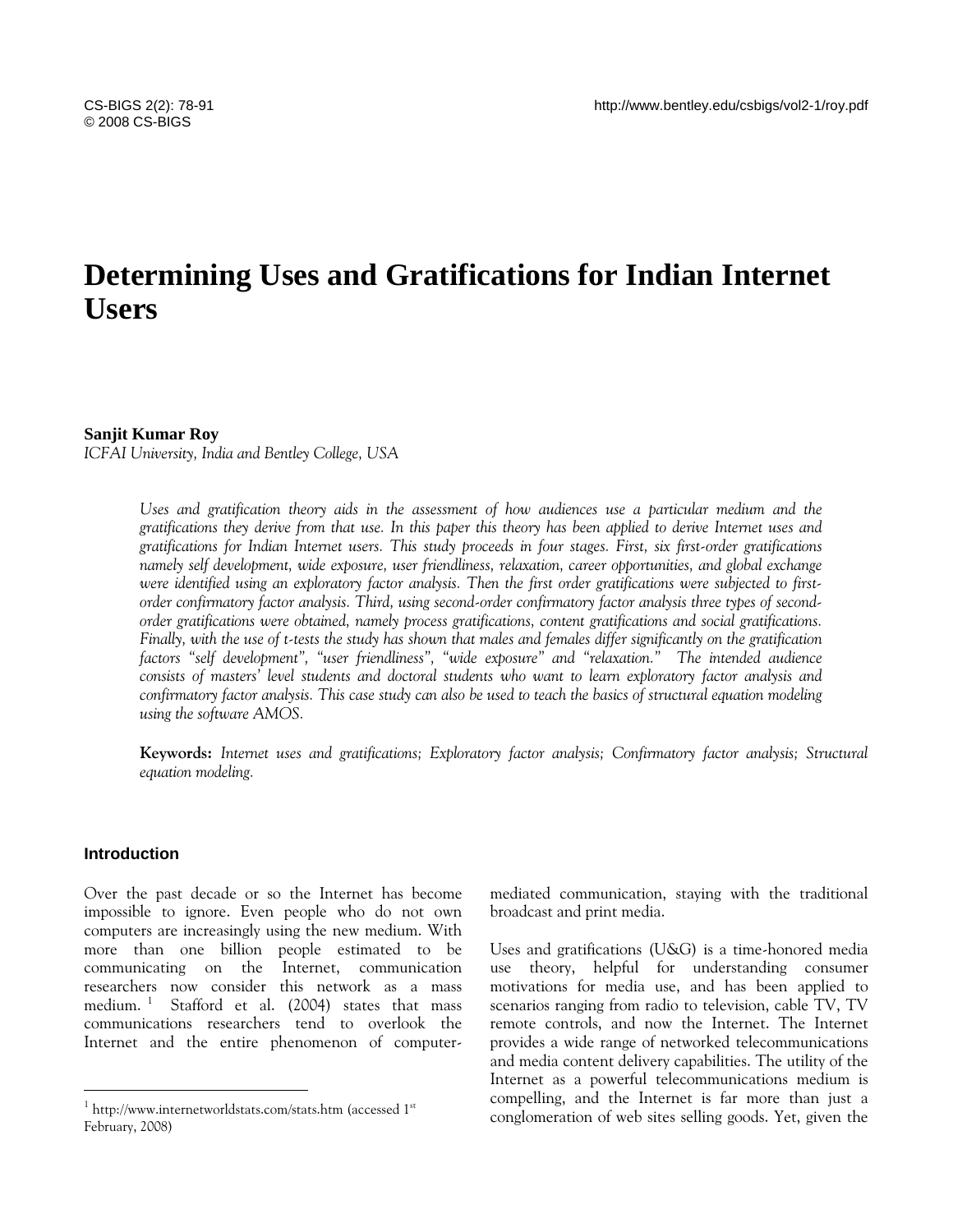# **Determining Uses and Gratifications for Indian Internet Users**

# **Sanjit Kumar Roy**

*ICFAI University, India and Bentley College, USA* 

*Uses and gratification theory aids in the assessment of how audiences use a particular medium and the gratifications they derive from that use. In this paper this theory has been applied to derive Internet uses and gratifications for Indian Internet users. This study proceeds in four stages. First, six first-order gratifications namely self development, wide exposure, user friendliness, relaxation, career opportunities, and global exchange were identified using an exploratory factor analysis. Then the first order gratifications were subjected to firstorder confirmatory factor analysis. Third, using second-order confirmatory factor analysis three types of secondorder gratifications were obtained, namely process gratifications, content gratifications and social gratifications. Finally, with the use of t-tests the study has shown that males and females differ significantly on the gratification factors "self development", "user friendliness", "wide exposure" and "relaxation." The intended audience consists of masters' level students and doctoral students who want to learn exploratory factor analysis and confirmatory factor analysis. This case study can also be used to teach the basics of structural equation modeling using the software AMOS.* 

**Keywords:** *Internet uses and gratifications; Exploratory factor analysis; Confirmatory factor analysis; Structural equation modeling.* 

# **Introduction**

 $\overline{a}$ 

Over the past decade or so the Internet has become impossible to ignore. Even people who do not own computers are increasingly using the new medium. With more than one billion people estimated to be communicating on the Internet, communication researchers now consider this network as a mass medium. [1](#page-0-0) Stafford et al. (2004) states that mass communications researchers tend to overlook the Internet and the entire phenomenon of computermediated communication, staying with the traditional broadcast and print media.

Uses and gratifications (U&G) is a time-honored media use theory, helpful for understanding consumer motivations for media use, and has been applied to scenarios ranging from radio to television, cable TV, TV remote controls, and now the Internet. The Internet provides a wide range of networked telecommunications and media content delivery capabilities. The utility of the Internet as a powerful telecommunications medium is compelling, and the Internet is far more than just a conglomeration of web sites selling goods. Yet, given the

<span id="page-0-0"></span> $1 \text{ http://www.internetworldstats.com/stats.htm}$  (accessed  $1^{\text{st}}$ February, 2008)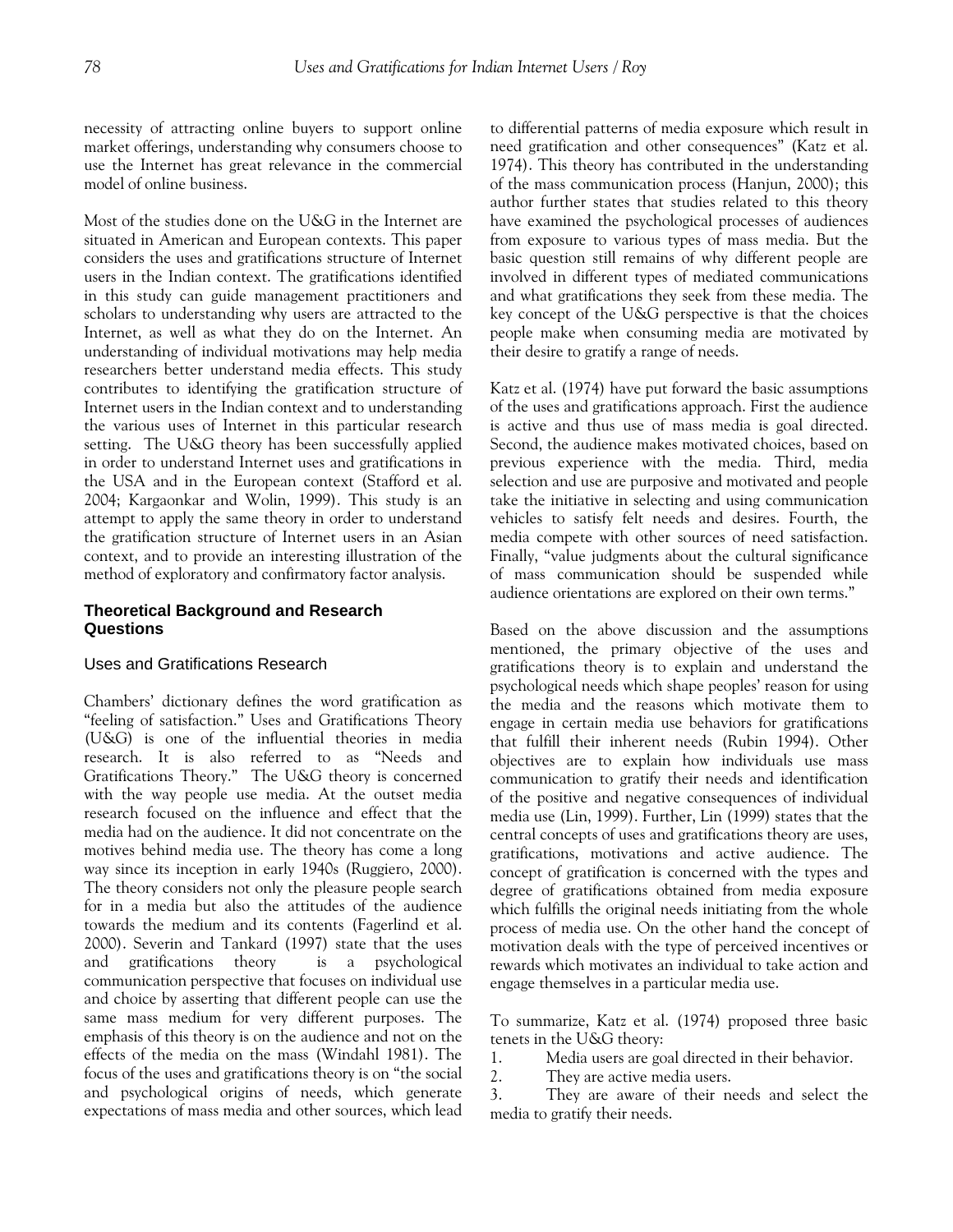necessity of attracting online buyers to support online market offerings, understanding why consumers choose to use the Internet has great relevance in the commercial model of online business.

Most of the studies done on the U&G in the Internet are situated in American and European contexts. This paper considers the uses and gratifications structure of Internet users in the Indian context. The gratifications identified in this study can guide management practitioners and scholars to understanding why users are attracted to the Internet, as well as what they do on the Internet. An understanding of individual motivations may help media researchers better understand media effects. This study contributes to identifying the gratification structure of Internet users in the Indian context and to understanding the various uses of Internet in this particular research setting. The U&G theory has been successfully applied in order to understand Internet uses and gratifications in the USA and in the European context (Stafford et al. 2004; Kargaonkar and Wolin, 1999). This study is an attempt to apply the same theory in order to understand the gratification structure of Internet users in an Asian context, and to provide an interesting illustration of the method of exploratory and confirmatory factor analysis.

# **Theoretical Background and Research Questions**

# Uses and Gratifications Research

Chambers' dictionary defines the word gratification as "feeling of satisfaction." Uses and Gratifications Theory (U&G) is one of the influential theories in media research. It is also referred to as "Needs and Gratifications Theory." The U&G theory is concerned with the way people use media. At the outset media research focused on the influence and effect that the media had on the audience. It did not concentrate on the motives behind media use. The theory has come a long way since its inception in early 1940s (Ruggiero, 2000). The theory considers not only the pleasure people search for in a media but also the attitudes of the audience towards the medium and its contents (Fagerlind et al. 2000). Severin and Tankard (1997) state that the uses and gratifications theory is a psychological communication perspective that focuses on individual use and choice by asserting that different people can use the same mass medium for very different purposes. The emphasis of this theory is on the audience and not on the effects of the media on the mass (Windahl 1981). The focus of the uses and gratifications theory is on "the social and psychological origins of needs, which generate expectations of mass media and other sources, which lead to differential patterns of media exposure which result in need gratification and other consequences" (Katz et al. 1974). This theory has contributed in the understanding of the mass communication process (Hanjun, 2000); this author further states that studies related to this theory have examined the psychological processes of audiences from exposure to various types of mass media. But the basic question still remains of why different people are involved in different types of mediated communications and what gratifications they seek from these media. The key concept of the U&G perspective is that the choices people make when consuming media are motivated by their desire to gratify a range of needs.

Katz et al. (1974) have put forward the basic assumptions of the uses and gratifications approach. First the audience is active and thus use of mass media is goal directed. Second, the audience makes motivated choices, based on previous experience with the media. Third, media selection and use are purposive and motivated and people take the initiative in selecting and using communication vehicles to satisfy felt needs and desires. Fourth, the media compete with other sources of need satisfaction. Finally, "value judgments about the cultural significance of mass communication should be suspended while audience orientations are explored on their own terms."

Based on the above discussion and the assumptions mentioned, the primary objective of the uses and gratifications theory is to explain and understand the psychological needs which shape peoples' reason for using the media and the reasons which motivate them to engage in certain media use behaviors for gratifications that fulfill their inherent needs (Rubin 1994). Other objectives are to explain how individuals use mass communication to gratify their needs and identification of the positive and negative consequences of individual media use (Lin, 1999). Further, Lin (1999) states that the central concepts of uses and gratifications theory are uses, gratifications, motivations and active audience. The concept of gratification is concerned with the types and degree of gratifications obtained from media exposure which fulfills the original needs initiating from the whole process of media use. On the other hand the concept of motivation deals with the type of perceived incentives or rewards which motivates an individual to take action and engage themselves in a particular media use.

To summarize, Katz et al. (1974) proposed three basic tenets in the U&G theory:

1. Media users are goal directed in their behavior.

2. They are active media users.

3. They are aware of their needs and select the media to gratify their needs.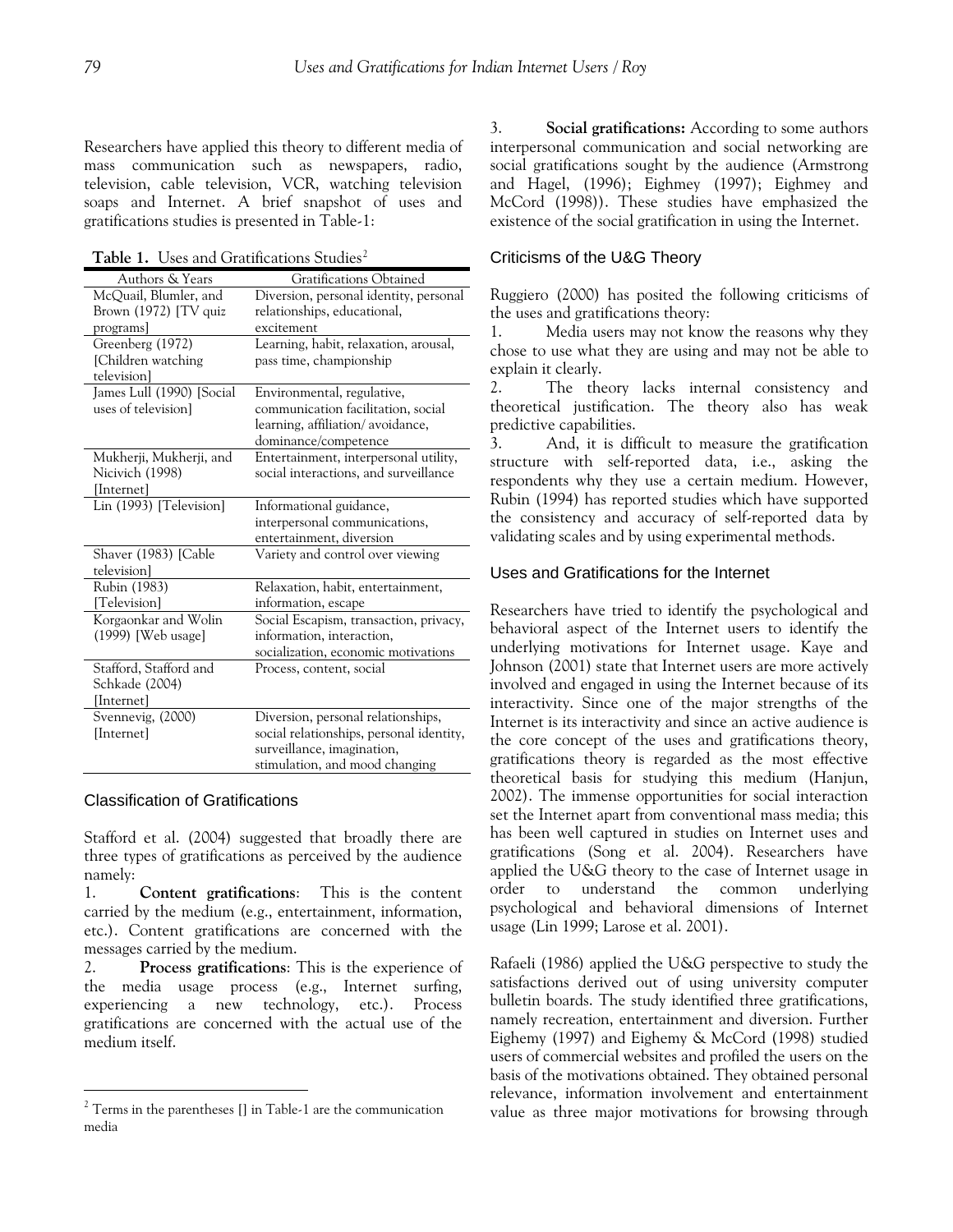Researchers have applied this theory to different media of mass communication such as newspapers, radio, television, cable television, VCR, watching television soaps and Internet. A brief snapshot of uses and gratifications studies is presented in Table-1:

Table 1. Uses and Gratifications Studies<sup>[2](#page-2-0)</sup>

| Authors & Years           | Gratifications Obtained                  |
|---------------------------|------------------------------------------|
| McQuail, Blumler, and     | Diversion, personal identity, personal   |
| Brown $(1972)$ [TV quiz   | relationships, educational,              |
| programs]                 | excitement                               |
| Greenberg (1972)          | Learning, habit, relaxation, arousal,    |
| [Children watching        | pass time, championship                  |
| television]               |                                          |
| James Lull (1990) [Social | Environmental, regulative,               |
| uses of television]       | communication facilitation, social       |
|                           | learning, affiliation/avoidance,         |
|                           | dominance/competence                     |
| Mukherji, Mukherji, and   | Entertainment, interpersonal utility,    |
| Nicivich (1998)           | social interactions, and surveillance    |
| [Internet]                |                                          |
| Lin (1993) [Television]   | Informational guidance,                  |
|                           | interpersonal communications,            |
|                           | entertainment, diversion                 |
| Shaver (1983) [Cable      | Variety and control over viewing         |
| television]               |                                          |
| Rubin (1983)              | Relaxation, habit, entertainment,        |
| [Television]              | information, escape                      |
| Korgaonkar and Wolin      | Social Escapism, transaction, privacy,   |
| (1999) [Web usage]        | information, interaction,                |
|                           | socialization, economic motivations      |
| Stafford, Stafford and    | Process, content, social                 |
| Schkade (2004)            |                                          |
| [Internet]                |                                          |
| Svennevig, (2000)         | Diversion, personal relationships,       |
| [Internet]                | social relationships, personal identity, |
|                           | surveillance, imagination,               |
|                           | stimulation, and mood changing           |

#### Classification of Gratifications

 $\overline{a}$ 

Stafford et al. (2004) suggested that broadly there are three types of gratifications as perceived by the audience namely:

1. **Content gratifications**: This is the content carried by the medium (e.g., entertainment, information, etc.). Content gratifications are concerned with the messages carried by the medium.

2. **Process gratifications**: This is the experience of the media usage process (e.g., Internet surfing, experiencing a new technology, etc.). Process gratifications are concerned with the actual use of the medium itself.

3. **Social gratifications:** According to some authors interpersonal communication and social networking are social gratifications sought by the audience (Armstrong and Hagel, (1996); Eighmey (1997); Eighmey and McCord (1998)). These studies have emphasized the existence of the social gratification in using the Internet.

# Criticisms of the U&G Theory

Ruggiero (2000) has posited the following criticisms of the uses and gratifications theory:

1. Media users may not know the reasons why they chose to use what they are using and may not be able to explain it clearly.

2. The theory lacks internal consistency and theoretical justification. The theory also has weak predictive capabilities.

3. And, it is difficult to measure the gratification structure with self-reported data, i.e., asking the respondents why they use a certain medium. However, Rubin (1994) has reported studies which have supported the consistency and accuracy of self-reported data by validating scales and by using experimental methods.

## Uses and Gratifications for the Internet

Researchers have tried to identify the psychological and behavioral aspect of the Internet users to identify the underlying motivations for Internet usage. Kaye and Johnson (2001) state that Internet users are more actively involved and engaged in using the Internet because of its interactivity. Since one of the major strengths of the Internet is its interactivity and since an active audience is the core concept of the uses and gratifications theory, gratifications theory is regarded as the most effective theoretical basis for studying this medium (Hanjun, 2002). The immense opportunities for social interaction set the Internet apart from conventional mass media; this has been well captured in studies on Internet uses and gratifications (Song et al. 2004). Researchers have applied the U&G theory to the case of Internet usage in order to understand the common underlying psychological and behavioral dimensions of Internet usage (Lin 1999; Larose et al. 2001).

Rafaeli (1986) applied the U&G perspective to study the satisfactions derived out of using university computer bulletin boards. The study identified three gratifications, namely recreation, entertainment and diversion. Further Eighemy (1997) and Eighemy & McCord (1998) studied users of commercial websites and profiled the users on the basis of the motivations obtained. They obtained personal relevance, information involvement and entertainment value as three major motivations for browsing through

<span id="page-2-0"></span> $2$ <sup>2</sup> Terms in the parentheses  $\left[\right]$  in Table-1 are the communication media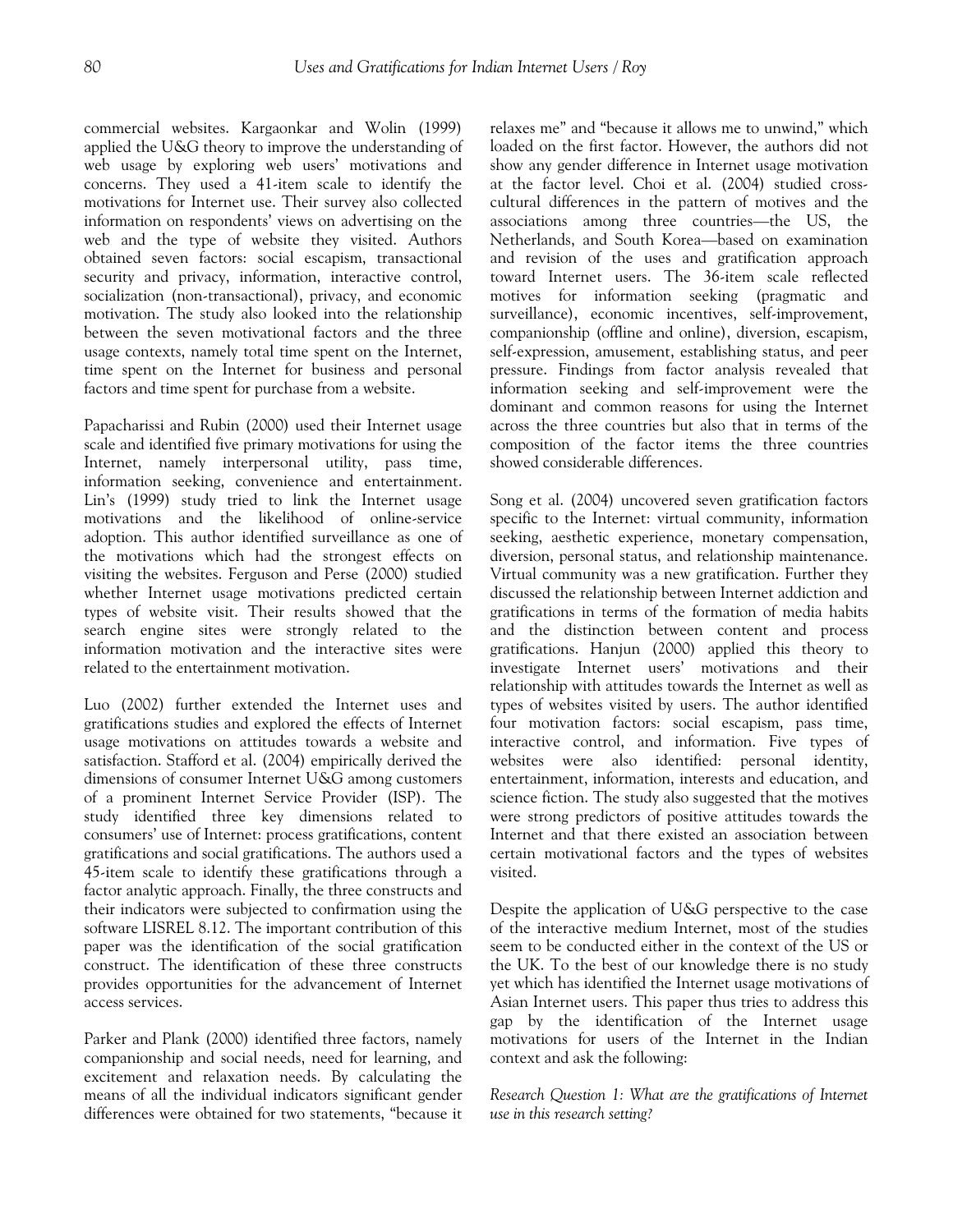commercial websites. Kargaonkar and Wolin (1999) applied the U&G theory to improve the understanding of web usage by exploring web users' motivations and concerns. They used a 41-item scale to identify the motivations for Internet use. Their survey also collected information on respondents' views on advertising on the web and the type of website they visited. Authors obtained seven factors: social escapism, transactional security and privacy, information, interactive control, socialization (non-transactional), privacy, and economic motivation. The study also looked into the relationship between the seven motivational factors and the three usage contexts, namely total time spent on the Internet, time spent on the Internet for business and personal factors and time spent for purchase from a website.

Papacharissi and Rubin (2000) used their Internet usage scale and identified five primary motivations for using the Internet, namely interpersonal utility, pass time, information seeking, convenience and entertainment. Lin's (1999) study tried to link the Internet usage motivations and the likelihood of online-service adoption. This author identified surveillance as one of the motivations which had the strongest effects on visiting the websites. Ferguson and Perse (2000) studied whether Internet usage motivations predicted certain types of website visit. Their results showed that the search engine sites were strongly related to the information motivation and the interactive sites were related to the entertainment motivation.

Luo (2002) further extended the Internet uses and gratifications studies and explored the effects of Internet usage motivations on attitudes towards a website and satisfaction. Stafford et al. (2004) empirically derived the dimensions of consumer Internet U&G among customers of a prominent Internet Service Provider (ISP). The study identified three key dimensions related to consumers' use of Internet: process gratifications, content gratifications and social gratifications. The authors used a 45-item scale to identify these gratifications through a factor analytic approach. Finally, the three constructs and their indicators were subjected to confirmation using the software LISREL 8.12. The important contribution of this paper was the identification of the social gratification construct. The identification of these three constructs provides opportunities for the advancement of Internet access services.

Parker and Plank (2000) identified three factors, namely companionship and social needs, need for learning, and excitement and relaxation needs. By calculating the means of all the individual indicators significant gender differences were obtained for two statements, "because it relaxes me" and "because it allows me to unwind," which loaded on the first factor. However, the authors did not show any gender difference in Internet usage motivation at the factor level. Choi et al. (2004) studied crosscultural differences in the pattern of motives and the associations among three countries—the US, the Netherlands, and South Korea—based on examination and revision of the uses and gratification approach toward Internet users. The 36-item scale reflected motives for information seeking (pragmatic and surveillance), economic incentives, self-improvement, companionship (offline and online), diversion, escapism, self-expression, amusement, establishing status, and peer pressure. Findings from factor analysis revealed that information seeking and self-improvement were the dominant and common reasons for using the Internet across the three countries but also that in terms of the composition of the factor items the three countries showed considerable differences.

Song et al. (2004) uncovered seven gratification factors specific to the Internet: virtual community, information seeking, aesthetic experience, monetary compensation, diversion, personal status, and relationship maintenance. Virtual community was a new gratification. Further they discussed the relationship between Internet addiction and gratifications in terms of the formation of media habits and the distinction between content and process gratifications. Hanjun (2000) applied this theory to investigate Internet users' motivations and their relationship with attitudes towards the Internet as well as types of websites visited by users. The author identified four motivation factors: social escapism, pass time, interactive control, and information. Five types of websites were also identified: personal identity, entertainment, information, interests and education, and science fiction. The study also suggested that the motives were strong predictors of positive attitudes towards the Internet and that there existed an association between certain motivational factors and the types of websites visited.

Despite the application of U&G perspective to the case of the interactive medium Internet, most of the studies seem to be conducted either in the context of the US or the UK. To the best of our knowledge there is no study yet which has identified the Internet usage motivations of Asian Internet users. This paper thus tries to address this gap by the identification of the Internet usage motivations for users of the Internet in the Indian context and ask the following:

*Research Question 1: What are the gratifications of Internet use in this research setting?*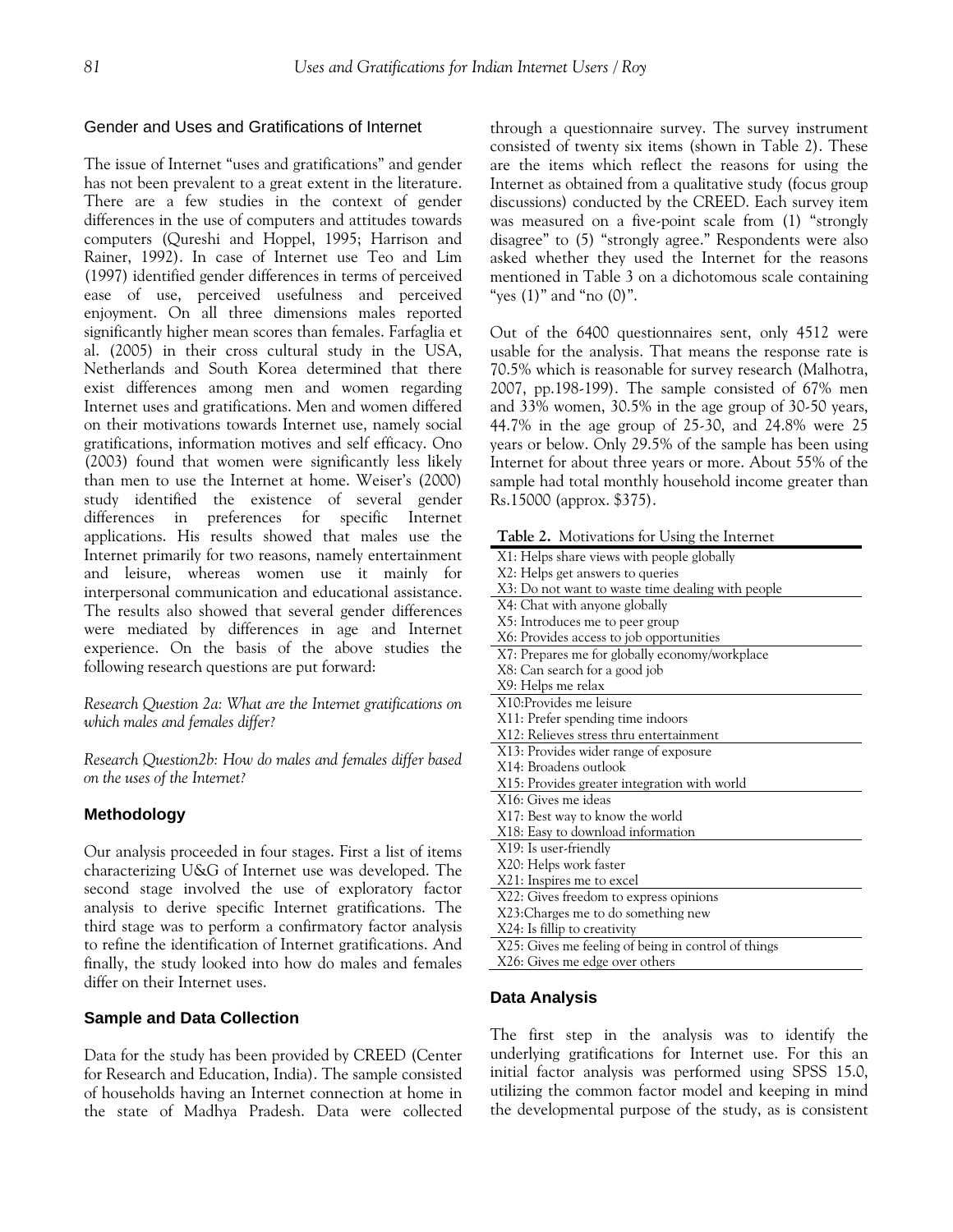## Gender and Uses and Gratifications of Internet

The issue of Internet "uses and gratifications" and gender has not been prevalent to a great extent in the literature. There are a few studies in the context of gender differences in the use of computers and attitudes towards computers (Qureshi and Hoppel, 1995; Harrison and Rainer, 1992). In case of Internet use Teo and Lim (1997) identified gender differences in terms of perceived ease of use, perceived usefulness and perceived enjoyment. On all three dimensions males reported significantly higher mean scores than females. Farfaglia et al. (2005) in their cross cultural study in the USA, Netherlands and South Korea determined that there exist differences among men and women regarding Internet uses and gratifications. Men and women differed on their motivations towards Internet use, namely social gratifications, information motives and self efficacy. Ono (2003) found that women were significantly less likely than men to use the Internet at home. Weiser's (2000) study identified the existence of several gender differences in preferences for specific Internet applications. His results showed that males use the Internet primarily for two reasons, namely entertainment and leisure, whereas women use it mainly for interpersonal communication and educational assistance. The results also showed that several gender differences were mediated by differences in age and Internet experience. On the basis of the above studies the following research questions are put forward:

*Research Question 2a: What are the Internet gratifications on which males and females differ?* 

*Research Question2b: How do males and females differ based on the uses of the Internet?* 

# **Methodology**

Our analysis proceeded in four stages. First a list of items characterizing U&G of Internet use was developed. The second stage involved the use of exploratory factor analysis to derive specific Internet gratifications. The third stage was to perform a confirmatory factor analysis to refine the identification of Internet gratifications. And finally, the study looked into how do males and females differ on their Internet uses.

## **Sample and Data Collection**

Data for the study has been provided by CREED (Center for Research and Education, India). The sample consisted of households having an Internet connection at home in the state of Madhya Pradesh. Data were collected through a questionnaire survey. The survey instrument consisted of twenty six items (shown in Table 2). These are the items which reflect the reasons for using the Internet as obtained from a qualitative study (focus group discussions) conducted by the CREED. Each survey item was measured on a five-point scale from (1) "strongly disagree" to (5) "strongly agree." Respondents were also asked whether they used the Internet for the reasons mentioned in Table 3 on a dichotomous scale containing "yes  $(1)$ " and "no  $(0)$ ".

Out of the 6400 questionnaires sent, only 4512 were usable for the analysis. That means the response rate is 70.5% which is reasonable for survey research (Malhotra, 2007, pp.198-199). The sample consisted of 67% men and 33% women, 30.5% in the age group of 30-50 years, 44.7% in the age group of 25-30, and 24.8% were 25 years or below. Only 29.5% of the sample has been using Internet for about three years or more. About 55% of the sample had total monthly household income greater than Rs.15000 (approx. \$375).

|  | Table 2. Motivations for Using the Internet |  |  |  |  |
|--|---------------------------------------------|--|--|--|--|
|--|---------------------------------------------|--|--|--|--|

| <b>Table 2.</b> Indervaluation for Using the interface |
|--------------------------------------------------------|
| X1: Helps share views with people globally             |
| X2: Helps get answers to queries                       |
| X3: Do not want to waste time dealing with people      |
| X4: Chat with anyone globally                          |
| X5: Introduces me to peer group                        |
| X6: Provides access to job opportunities               |
| X7: Prepares me for globally economy/workplace         |
| X8: Can search for a good job                          |
| X9: Helps me relax                                     |
| X10:Provides me leisure                                |
| X11: Prefer spending time indoors                      |
| X12: Relieves stress thru entertainment                |
| X13: Provides wider range of exposure                  |
| X14: Broadens outlook                                  |
| X15: Provides greater integration with world           |
| X16: Gives me ideas                                    |
| X17: Best way to know the world                        |
| X18: Easy to download information                      |
| X19: Is user-friendly                                  |
| X20: Helps work faster                                 |
| X21: Inspires me to excel                              |
| X22: Gives freedom to express opinions                 |
| X23: Charges me to do something new                    |
| X24: Is fillip to creativity                           |
| X25: Gives me feeling of being in control of things    |
| X26: Gives me edge over others                         |

## **Data Analysis**

The first step in the analysis was to identify the underlying gratifications for Internet use. For this an initial factor analysis was performed using SPSS 15.0, utilizing the common factor model and keeping in mind the developmental purpose of the study, as is consistent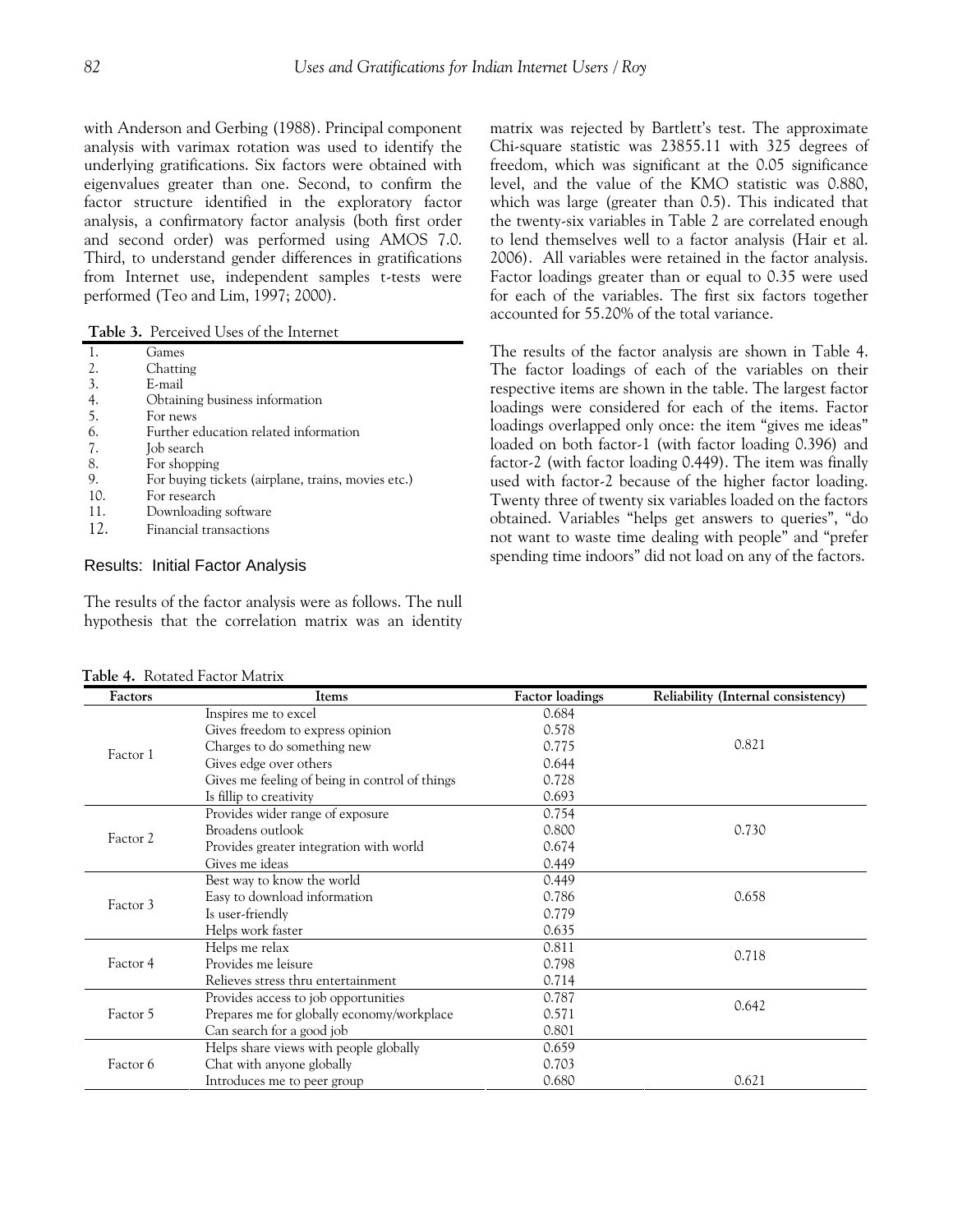with Anderson and Gerbing (1988). Principal component analysis with varimax rotation was used to identify the underlying gratifications. Six factors were obtained with eigenvalues greater than one. Second, to confirm the factor structure identified in the exploratory factor analysis, a confirmatory factor analysis (both first order and second order) was performed using AMOS 7.0. Third, to understand gender differences in gratifications from Internet use, independent samples t-tests were performed (Teo and Lim, 1997; 2000).

**Table 3.** Perceived Uses of the Internet

|     | Games                                              |
|-----|----------------------------------------------------|
| 2.  | Chatting                                           |
| 3.  | E-mail                                             |
| 4.  | Obtaining business information                     |
| -5. | For news                                           |
| 6.  | Further education related information              |
| 7.  | Job search                                         |
| 8.  | For shopping                                       |
| 9.  | For buying tickets (airplane, trains, movies etc.) |
| 10. | For research                                       |
| 11. | Downloading software                               |
| 12. | Financial transactions                             |
|     |                                                    |

# Results: Initial Factor Analysis

The results of the factor analysis were as follows. The null hypothesis that the correlation matrix was an identity

**Table 4.** Rotated Factor Matrix

matrix was rejected by Bartlett's test. The approximate Chi-square statistic was 23855.11 with 325 degrees of freedom, which was significant at the 0.05 significance level, and the value of the KMO statistic was 0.880, which was large (greater than 0.5). This indicated that the twenty-six variables in Table 2 are correlated enough to lend themselves well to a factor analysis (Hair et al. 2006). All variables were retained in the factor analysis. Factor loadings greater than or equal to 0.35 were used for each of the variables. The first six factors together accounted for 55.20% of the total variance.

The results of the factor analysis are shown in Table 4. The factor loadings of each of the variables on their respective items are shown in the table. The largest factor loadings were considered for each of the items. Factor loadings overlapped only once: the item "gives me ideas" loaded on both factor-1 (with factor loading 0.396) and factor-2 (with factor loading 0.449). The item was finally used with factor-2 because of the higher factor loading. Twenty three of twenty six variables loaded on the factors obtained. Variables "helps get answers to queries", "do not want to waste time dealing with people" and "prefer spending time indoors" did not load on any of the factors.

| Factors  | Items                                          | <b>Factor</b> loadings | Reliability (Internal consistency) |
|----------|------------------------------------------------|------------------------|------------------------------------|
|          | Inspires me to excel                           | 0.684                  |                                    |
|          | Gives freedom to express opinion               | 0.578                  |                                    |
| Factor 1 | Charges to do something new                    | 0.775                  | 0.821                              |
|          | Gives edge over others                         | 0.644                  |                                    |
|          | Gives me feeling of being in control of things | 0.728                  |                                    |
|          | Is fillip to creativity                        | 0.693                  |                                    |
|          | Provides wider range of exposure               | 0.754                  |                                    |
| Factor 2 | Broadens outlook                               | 0.800                  | 0.730                              |
|          | Provides greater integration with world        | 0.674                  |                                    |
|          | Gives me ideas                                 | 0.449                  |                                    |
|          | Best way to know the world                     | 0.449                  |                                    |
| Factor 3 | Easy to download information                   | 0.786                  | 0.658                              |
|          | Is user-friendly                               | 0.779                  |                                    |
|          | Helps work faster                              | 0.635                  |                                    |
|          | Helps me relax                                 | 0.811                  | 0.718                              |
| Factor 4 | Provides me leisure                            | 0.798                  |                                    |
|          | Relieves stress thru entertainment             | 0.714                  |                                    |
|          | Provides access to job opportunities           | 0.787                  | 0.642                              |
| Factor 5 | Prepares me for globally economy/workplace     | 0.571                  |                                    |
|          | Can search for a good job                      | 0.801                  |                                    |
|          | Helps share views with people globally         | 0.659                  |                                    |
| Factor 6 | Chat with anyone globally                      | 0.703                  |                                    |
|          | Introduces me to peer group                    | 0.680                  | 0.621                              |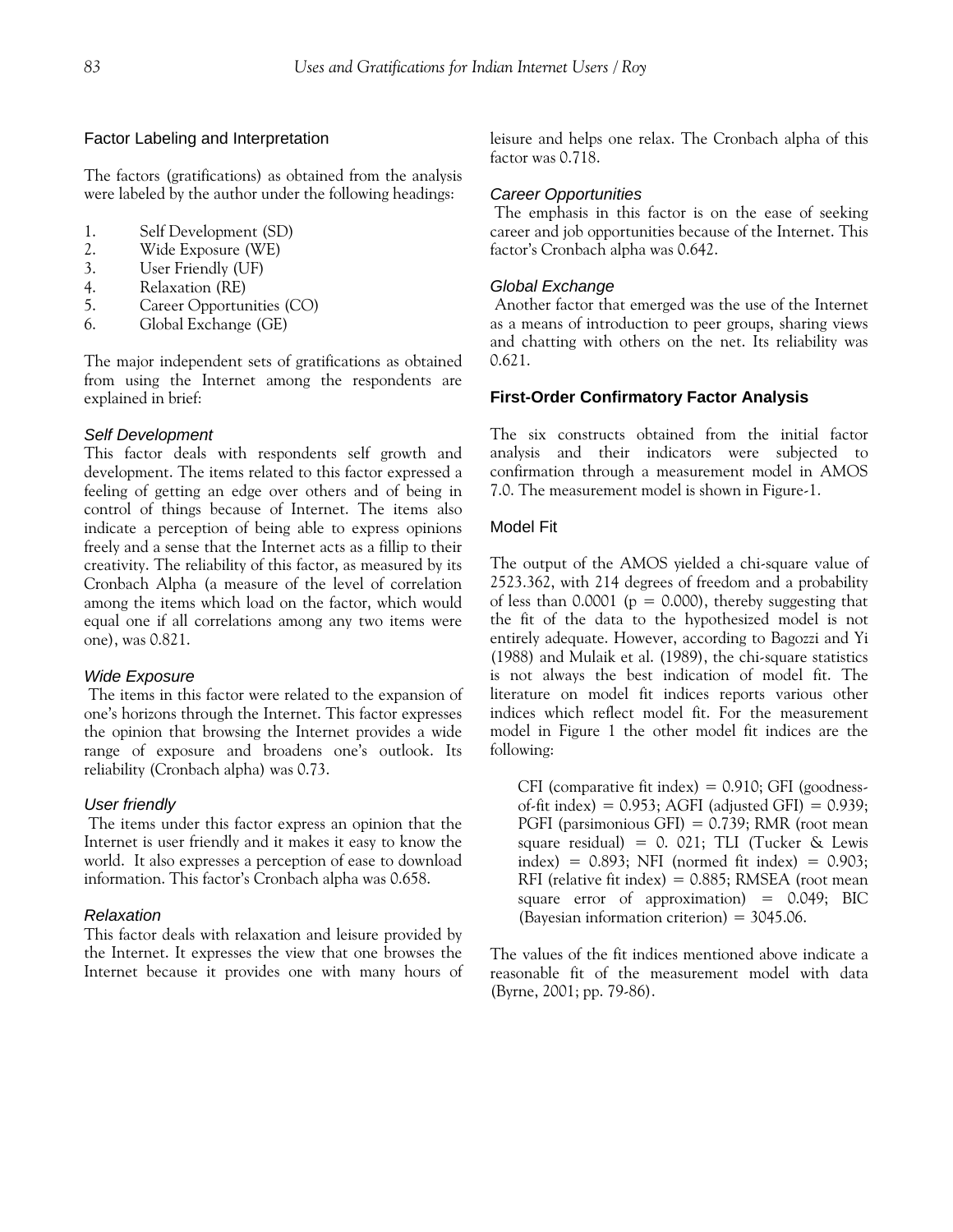#### Factor Labeling and Interpretation

The factors (gratifications) as obtained from the analysis were labeled by the author under the following headings:

- 1. Self Development (SD)
- 2. Wide Exposure (WE)
- 3. User Friendly (UF)
- 4. Relaxation (RE)
- 5. Career Opportunities (CO)
- 6. Global Exchange (GE)

The major independent sets of gratifications as obtained from using the Internet among the respondents are explained in brief:

### *Self Development*

This factor deals with respondents self growth and development. The items related to this factor expressed a feeling of getting an edge over others and of being in control of things because of Internet. The items also indicate a perception of being able to express opinions freely and a sense that the Internet acts as a fillip to their creativity. The reliability of this factor, as measured by its Cronbach Alpha (a measure of the level of correlation among the items which load on the factor, which would equal one if all correlations among any two items were one), was 0.821.

#### *Wide Exposure*

The items in this factor were related to the expansion of one's horizons through the Internet. This factor expresses the opinion that browsing the Internet provides a wide range of exposure and broadens one's outlook. Its reliability (Cronbach alpha) was 0.73.

## *User friendly*

The items under this factor express an opinion that the Internet is user friendly and it makes it easy to know the world. It also expresses a perception of ease to download information. This factor's Cronbach alpha was 0.658.

#### *Relaxation*

This factor deals with relaxation and leisure provided by the Internet. It expresses the view that one browses the Internet because it provides one with many hours of leisure and helps one relax. The Cronbach alpha of this factor was 0.718.

#### *Career Opportunities*

The emphasis in this factor is on the ease of seeking career and job opportunities because of the Internet. This factor's Cronbach alpha was 0.642.

#### *Global Exchange*

Another factor that emerged was the use of the Internet as a means of introduction to peer groups, sharing views and chatting with others on the net. Its reliability was 0.621.

#### **First-Order Confirmatory Factor Analysis**

The six constructs obtained from the initial factor analysis and their indicators were subjected to confirmation through a measurement model in AMOS 7.0. The measurement model is shown in Figure-1.

## Model Fit

The output of the AMOS yielded a chi-square value of 2523.362, with 214 degrees of freedom and a probability of less than 0.0001 ( $p = 0.000$ ), thereby suggesting that the fit of the data to the hypothesized model is not entirely adequate. However, according to Bagozzi and Yi (1988) and Mulaik et al. (1989), the chi-square statistics is not always the best indication of model fit. The literature on model fit indices reports various other indices which reflect model fit. For the measurement model in Figure 1 the other model fit indices are the following:

CFI (comparative fit index)  $= 0.910$ ; GFI (goodnessof-fit index) =  $0.953$ ; AGFI (adjusted GFI) =  $0.939$ ; PGFI (parsimonious GFI) = 0.739; RMR (root mean square residual) =  $0.021$ ; TLI (Tucker & Lewis index) =  $0.893$ ; NFI (normed fit index) =  $0.903$ ; RFI (relative fit index) =  $0.885$ ; RMSEA (root mean square error of approximation)  $= 0.049$ ; BIC (Bayesian information criterion) =  $3045.06$ .

The values of the fit indices mentioned above indicate a reasonable fit of the measurement model with data (Byrne, 2001; pp. 79-86).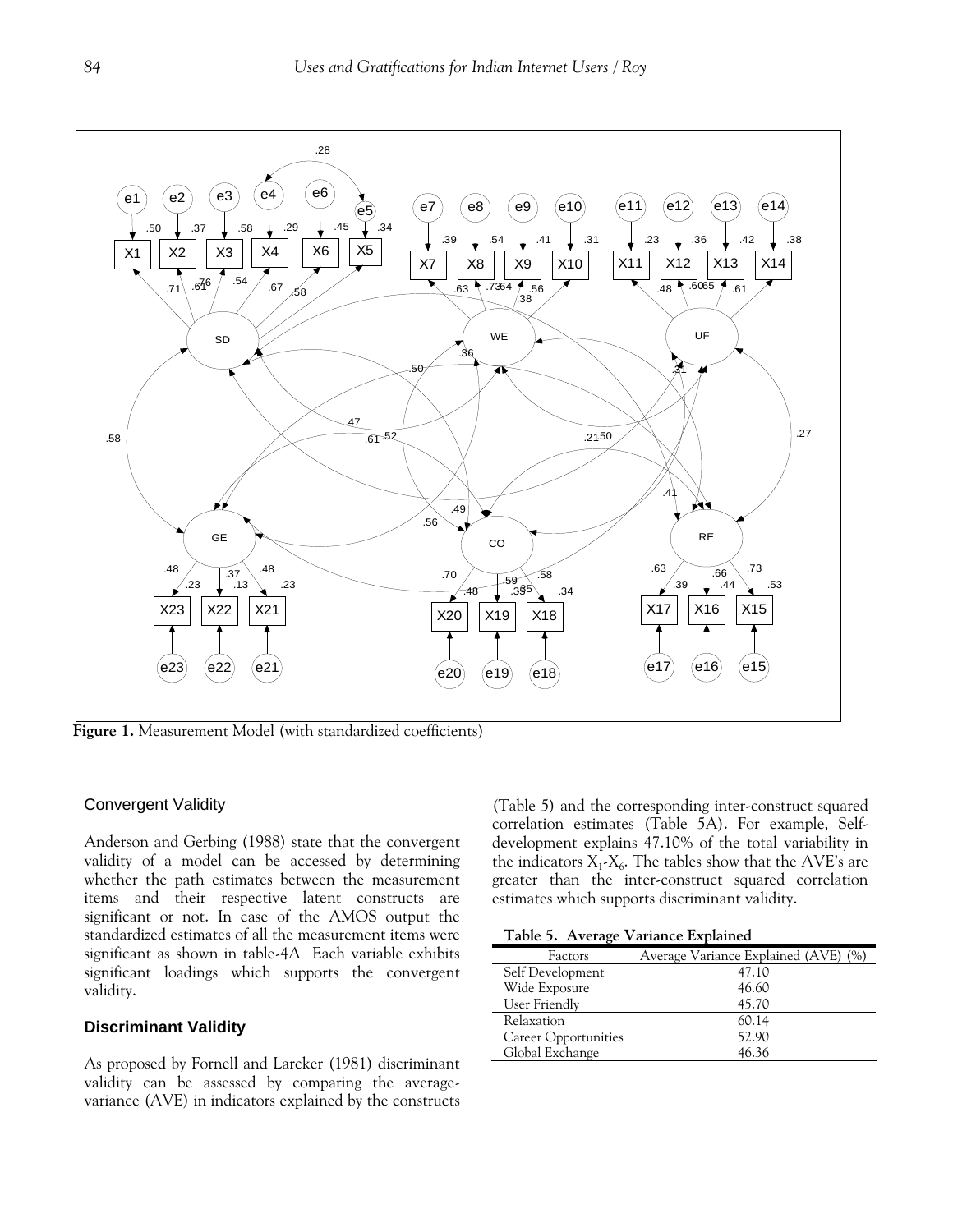

**Figure 1.** Measurement Model (with standardized coefficients)

## Convergent Validity

Anderson and Gerbing (1988) state that the convergent validity of a model can be accessed by determining whether the path estimates between the measurement items and their respective latent constructs are significant or not. In case of the AMOS output the standardized estimates of all the measurement items were significant as shown in table-4A Each variable exhibits significant loadings which supports the convergent validity.

# **Discriminant Validity**

As proposed by Fornell and Larcker (1981) discriminant validity can be assessed by comparing the averagevariance (AVE) in indicators explained by the constructs (Table 5) and the corresponding inter-construct squared correlation estimates (Table 5A). For example, Selfdevelopment explains 47.10% of the total variability in the indicators  $X_1 - X_6$ . The tables show that the AVE's are greater than the inter-construct squared correlation estimates which supports discriminant validity.

**Table 5. Average Variance Explained** 

| $\cdot$              |                                      |
|----------------------|--------------------------------------|
| Factors              | Average Variance Explained (AVE) (%) |
| Self Development     | 47.10                                |
| Wide Exposure        | 46.60                                |
| User Friendly        | 45.70                                |
| Relaxation           | 60.14                                |
| Career Opportunities | 52.90                                |
| Global Exchange      | 46.36                                |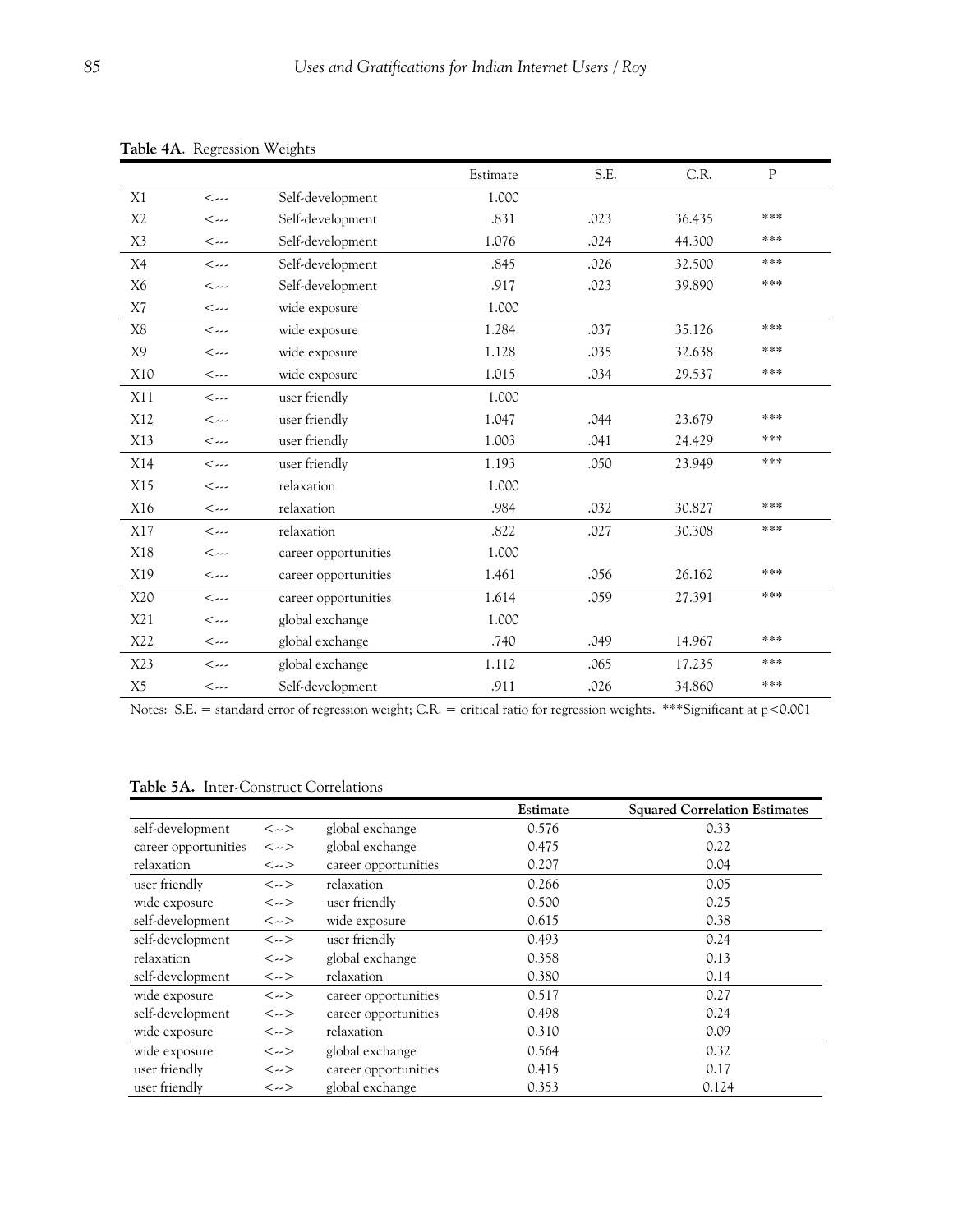|                |                                     | ு                    | Estimate | S.E. |        | P   |
|----------------|-------------------------------------|----------------------|----------|------|--------|-----|
|                |                                     |                      |          |      | C.R.   |     |
| X1             | $\left\langle \ldots\right\rangle$  | Self-development     | 1.000    |      |        |     |
| X <sub>2</sub> | $\leftarrow$                        | Self-development     | .831     | .023 | 36.435 | *** |
| X <sub>3</sub> | $\leftarrow$                        | Self-development     | 1.076    | .024 | 44.300 | *** |
| X4             | $\left\langle \ldots\right\rangle$  | Self-development     | .845     | .026 | 32.500 | *** |
| X <sub>6</sub> | $\leftarrow$                        | Self-development     | .917     | .023 | 39.890 | *** |
| X7             | $\left\langle \ldots\right\rangle$  | wide exposure        | 1.000    |      |        |     |
| X8             | $\left\langle \ldots \right\rangle$ | wide exposure        | 1.284    | .037 | 35.126 | *** |
| X <sub>9</sub> | $\leftarrow$                        | wide exposure        | 1.128    | .035 | 32.638 | *** |
| X10            | $\left\langle \ldots \right\rangle$ | wide exposure        | 1.015    | .034 | 29.537 | *** |
| X11            | $\leftarrow$                        | user friendly        | 1.000    |      |        |     |
| X12            | $\leftarrow$                        | user friendly        | 1.047    | .044 | 23.679 | *** |
| X13            | $\leftarrow$                        | user friendly        | 1.003    | .041 | 24.429 | *** |
| X14            | $\leftarrow$                        | user friendly        | 1.193    | .050 | 23.949 | *** |
| X15            | $\leftarrow$                        | relaxation           | 1.000    |      |        |     |
| X16            | $\leftarrow$                        | relaxation           | .984     | .032 | 30.827 | *** |
| X17            | $\left\langle \ldots\right\rangle$  | relaxation           | .822     | .027 | 30.308 | *** |
| X18            | $\leftarrow$                        | career opportunities | 1.000    |      |        |     |
| X19            | $\leftarrow$                        | career opportunities | 1.461    | .056 | 26.162 | *** |
| X20            | $\leftarrow$                        | career opportunities | 1.614    | .059 | 27.391 | *** |
| X21            | $\leftarrow$                        | global exchange      | 1.000    |      |        |     |
| X22            | $\leftarrow$                        | global exchange      | .740     | .049 | 14.967 | *** |
| X23            | $\leftarrow$                        | global exchange      | 1.112    | .065 | 17.235 | *** |
| X <sub>5</sub> | $\leftarrow$                        | Self-development     | .911     | .026 | 34.860 | *** |

**Table 4A**. Regression Weights

Notes: S.E. = standard error of regression weight; C.R. = critical ratio for regression weights. \*\*\*Significant at p<0.001

# **Table 5A.** Inter-Construct Correlations

|                      |                                       |                      | Estimate | <b>Squared Correlation Estimates</b> |
|----------------------|---------------------------------------|----------------------|----------|--------------------------------------|
| self-development     | $\left\langle \right\rangle$          | global exchange      | 0.576    | 0.33                                 |
| career opportunities | $\left\langle \right\rangle$          | global exchange      | 0.475    | 0.22                                 |
| relaxation           | $\left. \text{<}\dots\text{>}\right.$ | career opportunities | 0.207    | 0.04                                 |
| user friendly        | $\left. \text{<}\dots\text{>}\right.$ | relaxation           | 0.266    | 0.05                                 |
| wide exposure        | $\left. \right. <\dots>$              | user friendly        | 0.500    | 0.25                                 |
| self-development     | $\left. \text{<}\dots\text{>}\right.$ | wide exposure        | 0.615    | 0.38                                 |
| self-development     | $\left\langle \right\rangle$          | user friendly        | 0.493    | 0.24                                 |
| relaxation           | $\left\langle \right\rangle$          | global exchange      | 0.358    | 0.13                                 |
| self-development     | $\left. \text{<}\dots\text{>}\right.$ | relaxation           | 0.380    | 0.14                                 |
| wide exposure        | $\left. \text{<}\dots\text{>}\right.$ | career opportunities | 0.517    | 0.27                                 |
| self-development     | $\left\langle \right\rangle$          | career opportunities | 0.498    | 0.24                                 |
| wide exposure        | $\left. \text{<}\dots\text{>}\right.$ | relaxation           | 0.310    | 0.09                                 |
| wide exposure        | $\left. \text{<}\dots\text{>}\right.$ | global exchange      | 0.564    | 0.32                                 |
| user friendly        | $\left\langle \right\rangle$          | career opportunities | 0.415    | 0.17                                 |
| user friendly        | $\leftarrow$                          | global exchange      | 0.353    | 0.124                                |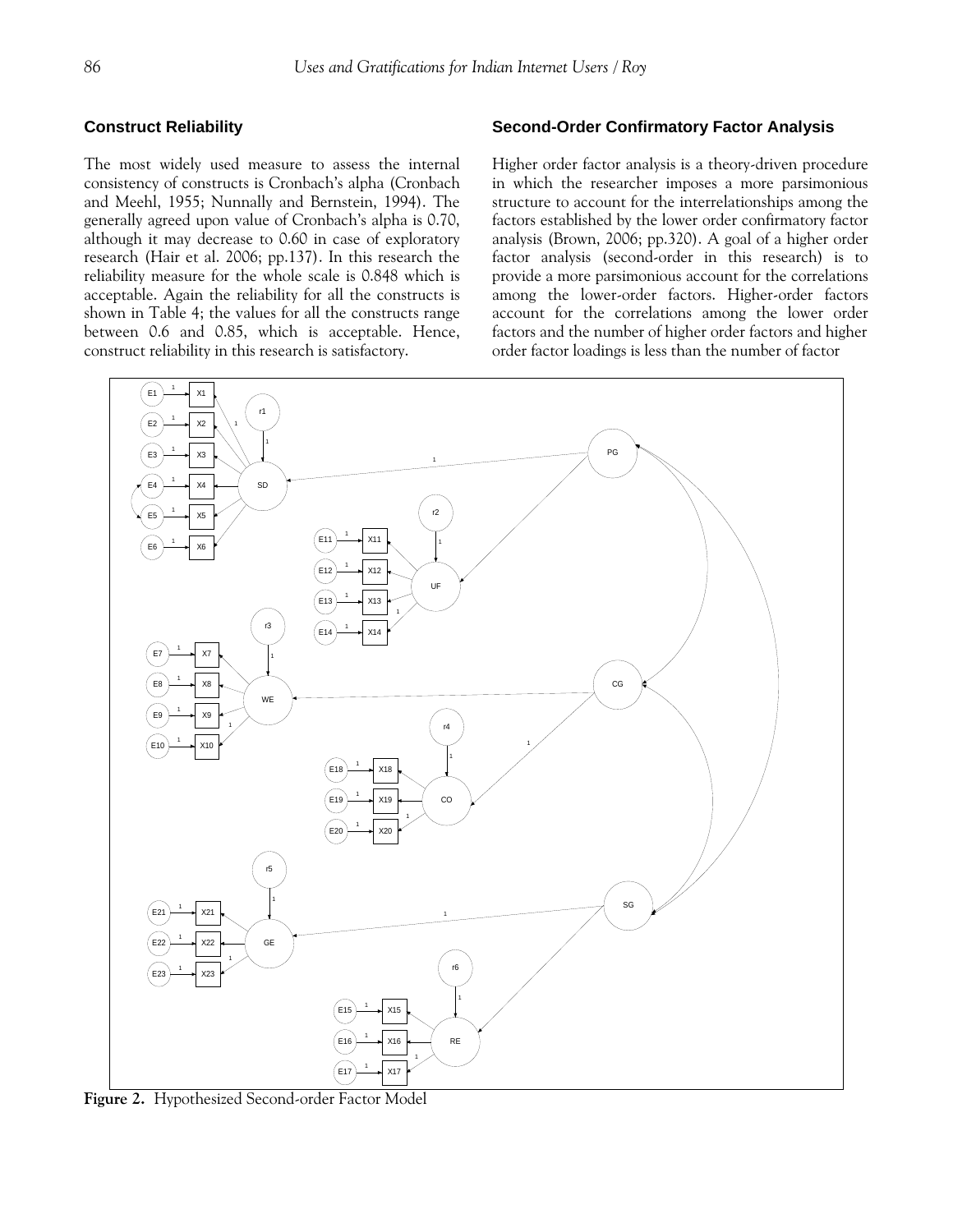# **Construct Reliability**

The most widely used measure to assess the internal consistency of constructs is Cronbach's alpha (Cronbach and Meehl, 1955; Nunnally and Bernstein, 1994). The generally agreed upon value of Cronbach's alpha is 0.70, although it may decrease to 0.60 in case of exploratory research (Hair et al. 2006; pp.137). In this research the reliability measure for the whole scale is 0.848 which is acceptable. Again the reliability for all the constructs is shown in Table 4; the values for all the constructs range between 0.6 and 0.85, which is acceptable. Hence, construct reliability in this research is satisfactory.

# **Second-Order Confirmatory Factor Analysis**

Higher order factor analysis is a theory-driven procedure in which the researcher imposes a more parsimonious structure to account for the interrelationships among the factors established by the lower order confirmatory factor analysis (Brown, 2006; pp.320). A goal of a higher order factor analysis (second-order in this research) is to provide a more parsimonious account for the correlations among the lower-order factors. Higher-order factors account for the correlations among the lower order factors and the number of higher order factors and higher order factor loadings is less than the number of factor



**Figure 2.** Hypothesized Second-order Factor Model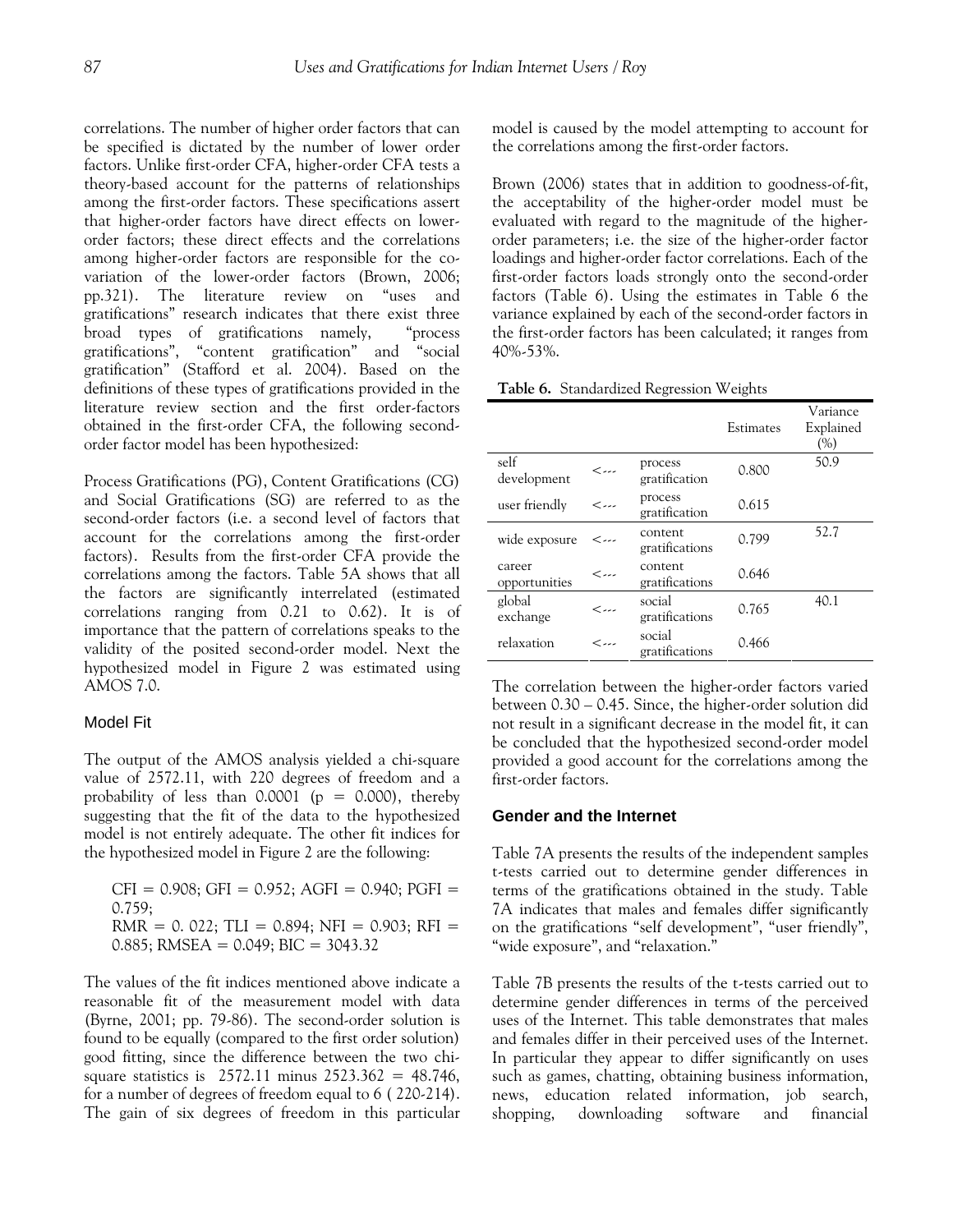correlations. The number of higher order factors that can be specified is dictated by the number of lower order factors. Unlike first-order CFA, higher-order CFA tests a theory-based account for the patterns of relationships among the first-order factors. These specifications assert that higher-order factors have direct effects on lowerorder factors; these direct effects and the correlations among higher-order factors are responsible for the covariation of the lower-order factors (Brown, 2006; pp.321). The literature review on "uses and gratifications" research indicates that there exist three broad types of gratifications namely, "process gratifications", "content gratification" and "social gratification" (Stafford et al. 2004). Based on the definitions of these types of gratifications provided in the literature review section and the first order-factors obtained in the first-order CFA, the following secondorder factor model has been hypothesized:

Process Gratifications (PG), Content Gratifications (CG) and Social Gratifications (SG) are referred to as the second-order factors (i.e. a second level of factors that account for the correlations among the first-order factors). Results from the first-order CFA provide the correlations among the factors. Table 5A shows that all the factors are significantly interrelated (estimated correlations ranging from 0.21 to 0.62). It is of importance that the pattern of correlations speaks to the validity of the posited second-order model. Next the hypothesized model in Figure 2 was estimated using AMOS 7.0.

## Model Fit

The output of the AMOS analysis yielded a chi-square value of 2572.11, with 220 degrees of freedom and a probability of less than  $0.0001$  (p = 0.000), thereby suggesting that the fit of the data to the hypothesized model is not entirely adequate. The other fit indices for the hypothesized model in Figure 2 are the following:

 $CFI = 0.908$ ;  $GFI = 0.952$ ;  $AGFI = 0.940$ ;  $PGFI =$  $0.759;$  $RMR = 0.022$ ; TLI = 0.894; NFI = 0.903; RFI = 0.885; RMSEA =  $0.049$ ; BIC =  $3043.32$ 

The values of the fit indices mentioned above indicate a reasonable fit of the measurement model with data (Byrne, 2001; pp. 79-86). The second-order solution is found to be equally (compared to the first order solution) good fitting, since the difference between the two chisquare statistics is  $2572.11$  minus  $2523.362 = 48.746$ , for a number of degrees of freedom equal to 6 ( 220-214). The gain of six degrees of freedom in this particular model is caused by the model attempting to account for the correlations among the first-order factors.

Brown (2006) states that in addition to goodness-of-fit, the acceptability of the higher-order model must be evaluated with regard to the magnitude of the higherorder parameters; i.e. the size of the higher-order factor loadings and higher-order factor correlations. Each of the first-order factors loads strongly onto the second-order factors (Table 6). Using the estimates in Table 6 the variance explained by each of the second-order factors in the first-order factors has been calculated; it ranges from 40%-53%.

**Table 6.** Standardized Regression Weights

|                         |                          |                           | Estimates | Variance<br>Explained<br>(%) |
|-------------------------|--------------------------|---------------------------|-----------|------------------------------|
| self<br>development     | $\leftarrow$             | process<br>gratification  | 0.800     | 50.9                         |
| user friendly           | ر ر ر                    | process<br>gratification  | 0.615     |                              |
| wide exposure           | $\leftarrow$             | content<br>gratifications | 0.799     | 52.7                         |
| career<br>opportunities | $\leftarrow$             | content<br>gratifications | 0.646     |                              |
| global<br>exchange      | - - - >                  | social<br>gratifications  | 0.765     | 40.1                         |
| relaxation              | $\overline{\phantom{a}}$ | social<br>gratifications  | 0.466     |                              |

The correlation between the higher-order factors varied between 0.30 – 0.45. Since, the higher-order solution did not result in a significant decrease in the model fit, it can be concluded that the hypothesized second-order model provided a good account for the correlations among the first-order factors.

# **Gender and the Internet**

Table 7A presents the results of the independent samples t-tests carried out to determine gender differences in terms of the gratifications obtained in the study. Table 7A indicates that males and females differ significantly on the gratifications "self development", "user friendly", "wide exposure", and "relaxation."

Table 7B presents the results of the t-tests carried out to determine gender differences in terms of the perceived uses of the Internet. This table demonstrates that males and females differ in their perceived uses of the Internet. In particular they appear to differ significantly on uses such as games, chatting, obtaining business information, news, education related information, job search, shopping, downloading software and financial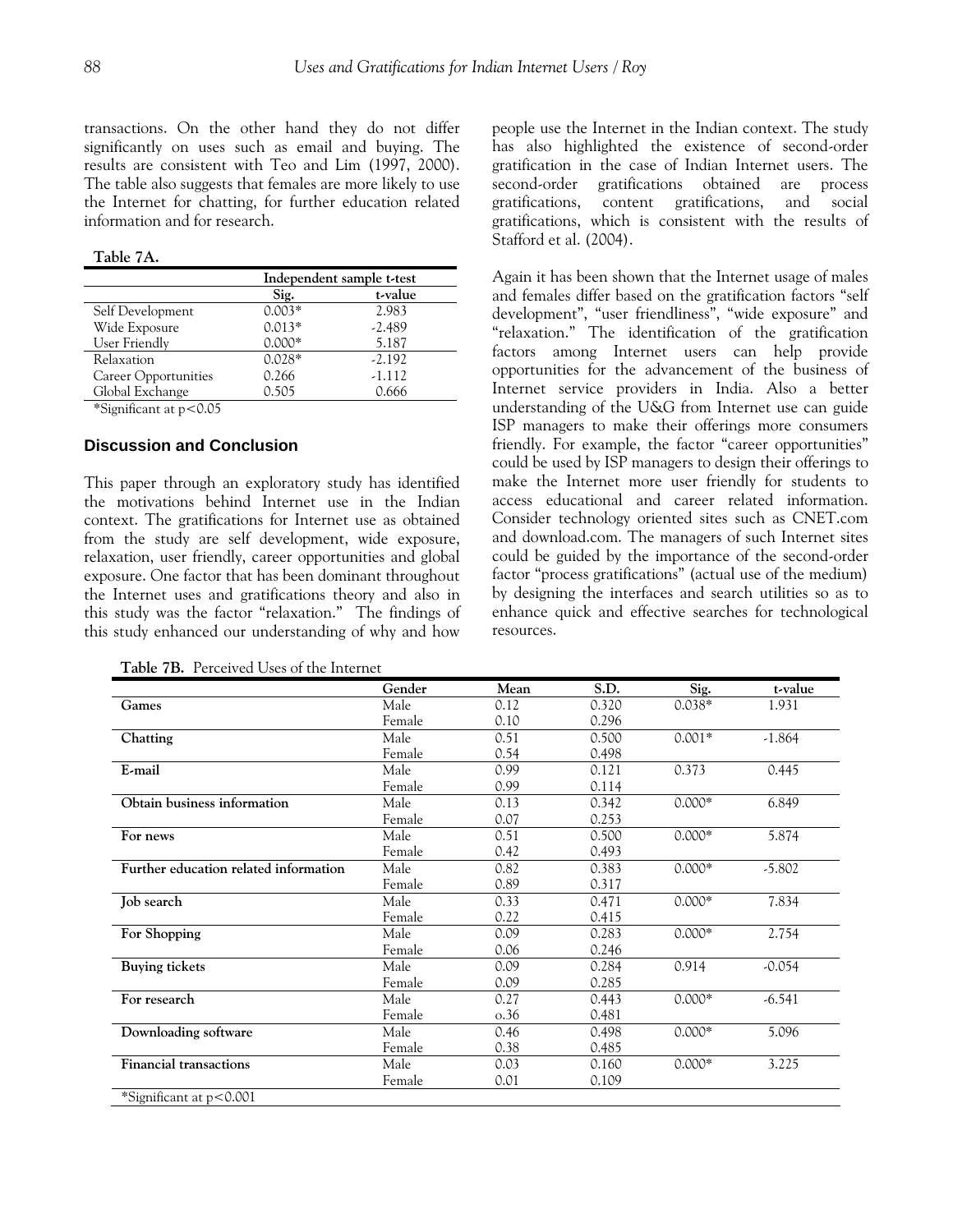transactions. On the other hand they do not differ significantly on uses such as email and buying. The results are consistent with Teo and Lim (1997, 2000). The table also suggests that females are more likely to use the Internet for chatting, for further education related information and for research.

**Table 7A.** 

|                                                       | Independent sample t-test |          |  |
|-------------------------------------------------------|---------------------------|----------|--|
|                                                       | Sig.                      | t-value  |  |
| Self Development                                      | $0.003*$                  | 2.983    |  |
| Wide Exposure                                         | $0.013*$                  | $-2.489$ |  |
| User Friendly                                         | $0.000*$                  | 5.187    |  |
| Relaxation                                            | $0.028*$                  | $-2.192$ |  |
| Career Opportunities                                  | 0.266                     | $-1.112$ |  |
| Global Exchange                                       | 0.505                     | 0.666    |  |
| $\cdots$<br>$\sim$ $\sim$ $\sim$ $\sim$ $\sim$ $\sim$ |                           |          |  |

\*Significant at p<0.05

# **Discussion and Conclusion**

This paper through an exploratory study has identified the motivations behind Internet use in the Indian context. The gratifications for Internet use as obtained from the study are self development, wide exposure, relaxation, user friendly, career opportunities and global exposure. One factor that has been dominant throughout the Internet uses and gratifications theory and also in this study was the factor "relaxation." The findings of this study enhanced our understanding of why and how

**Table 7B.** Perceived Uses of the Internet

people use the Internet in the Indian context. The study has also highlighted the existence of second-order gratification in the case of Indian Internet users. The second-order gratifications obtained are process gratifications, content gratifications, and social gratifications, which is consistent with the results of Stafford et al. (2004).

Again it has been shown that the Internet usage of males and females differ based on the gratification factors "self development", "user friendliness", "wide exposure" and "relaxation." The identification of the gratification factors among Internet users can help provide opportunities for the advancement of the business of Internet service providers in India. Also a better understanding of the U&G from Internet use can guide ISP managers to make their offerings more consumers friendly. For example, the factor "career opportunities" could be used by ISP managers to design their offerings to make the Internet more user friendly for students to access educational and career related information. Consider technology oriented sites such as CNET.com and download.com. The managers of such Internet sites could be guided by the importance of the second-order factor "process gratifications" (actual use of the medium) by designing the interfaces and search utilities so as to enhance quick and effective searches for technological resources.

|                                       | Gender | Mean | S.D.  | Sig.     | t-value  |
|---------------------------------------|--------|------|-------|----------|----------|
| Games                                 | Male   | 0.12 | 0.320 | $0.038*$ | 1.931    |
|                                       | Female | 0.10 | 0.296 |          |          |
| Chatting                              | Male   | 0.51 | 0.500 | $0.001*$ | $-1.864$ |
|                                       | Female | 0.54 | 0.498 |          |          |
| E-mail                                | Male   | 0.99 | 0.121 | 0.373    | 0.445    |
|                                       | Female | 0.99 | 0.114 |          |          |
| Obtain business information           | Male   | 0.13 | 0.342 | $0.000*$ | 6.849    |
|                                       | Female | 0.07 | 0.253 |          |          |
| For news                              | Male   | 0.51 | 0.500 | $0.000*$ | 5.874    |
|                                       | Female | 0.42 | 0.493 |          |          |
| Further education related information | Male   | 0.82 | 0.383 | $0.000*$ | $-5.802$ |
|                                       | Female | 0.89 | 0.317 |          |          |
| Job search                            | Male   | 0.33 | 0.471 | $0.000*$ | 7.834    |
|                                       | Female | 0.22 | 0.415 |          |          |
| For Shopping                          | Male   | 0.09 | 0.283 | $0.000*$ | 2.754    |
|                                       | Female | 0.06 | 0.246 |          |          |
| <b>Buying tickets</b>                 | Male   | 0.09 | 0.284 | 0.914    | $-0.054$ |
|                                       | Female | 0.09 | 0.285 |          |          |
| For research                          | Male   | 0.27 | 0.443 | $0.000*$ | $-6.541$ |
|                                       | Female | 0.36 | 0.481 |          |          |
| Downloading software                  | Male   | 0.46 | 0.498 | $0.000*$ | 5.096    |
|                                       | Female | 0.38 | 0.485 |          |          |
| <b>Financial transactions</b>         | Male   | 0.03 | 0.160 | $0.000*$ | 3.225    |
|                                       | Female | 0.01 | 0.109 |          |          |
| *Significant at $p < 0.001$           |        |      |       |          |          |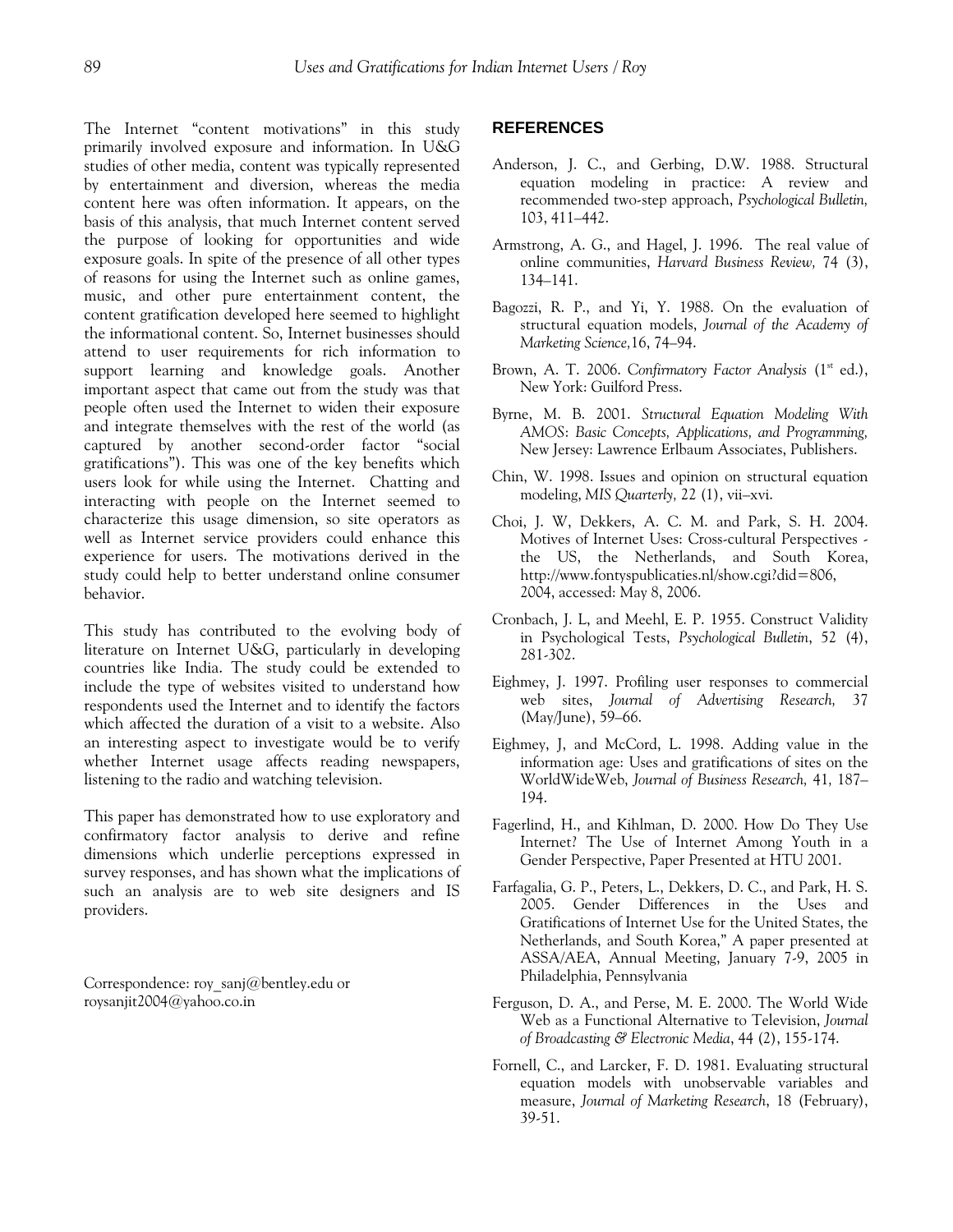The Internet "content motivations" in this study primarily involved exposure and information. In U&G studies of other media, content was typically represented by entertainment and diversion, whereas the media content here was often information. It appears, on the basis of this analysis, that much Internet content served the purpose of looking for opportunities and wide exposure goals. In spite of the presence of all other types of reasons for using the Internet such as online games, music, and other pure entertainment content, the content gratification developed here seemed to highlight the informational content. So, Internet businesses should attend to user requirements for rich information to support learning and knowledge goals. Another important aspect that came out from the study was that people often used the Internet to widen their exposure and integrate themselves with the rest of the world (as captured by another second-order factor "social gratifications"). This was one of the key benefits which users look for while using the Internet. Chatting and interacting with people on the Internet seemed to characterize this usage dimension, so site operators as well as Internet service providers could enhance this experience for users. The motivations derived in the study could help to better understand online consumer behavior.

This study has contributed to the evolving body of literature on Internet U&G, particularly in developing countries like India. The study could be extended to include the type of websites visited to understand how respondents used the Internet and to identify the factors which affected the duration of a visit to a website. Also an interesting aspect to investigate would be to verify whether Internet usage affects reading newspapers, listening to the radio and watching television.

This paper has demonstrated how to use exploratory and confirmatory factor analysis to derive and refine dimensions which underlie perceptions expressed in survey responses, and has shown what the implications of such an analysis are to web site designers and IS providers.

Correspondence: [roy\\_sanj@bentley.edu](mailto:roy_sanj@bentley.edu) or [roysanjit2004@yahoo.co.in](mailto:roysanjit2004@yahoo.co.in) 

# **REFERENCES**

- Anderson, J. C., and Gerbing, D.W. 1988. Structural equation modeling in practice: A review and recommended two-step approach, *Psychological Bulletin,*  103, 411–442.
- Armstrong, A. G., and Hagel, J. 1996. The real value of online communities, *Harvard Business Review,* 74 (3), 134–141.
- Bagozzi, R. P., and Yi, Y. 1988. On the evaluation of structural equation models, *Journal of the Academy of Marketing Science,*16, 74–94.
- Brown, A. T. 2006. *Confirmatory Factor Analysis* (1<sup>st</sup> ed.), New York: Guilford Press.
- Byrne, M. B. 2001. *Structural Equation Modeling With AMOS*: *Basic Concepts, Applications, and Programming,*  New Jersey: Lawrence Erlbaum Associates, Publishers.
- Chin, W. 1998. Issues and opinion on structural equation modeling, *MIS Quarterly,* 22 (1), vii–xvi.
- Choi, J. W, Dekkers, A. C. M. and Park, S. H. 2004. Motives of Internet Uses: Cross-cultural Perspectives the US, the Netherlands, and South Korea, <http://www.fontyspublicaties.nl/show.cgi?did=806>, 2004, accessed: May 8, 2006.
- Cronbach, J. L, and Meehl, E. P. 1955. Construct Validity in Psychological Tests, *Psychological Bulletin*, 52 (4), 281-302.
- Eighmey, J. 1997. Profiling user responses to commercial web sites, *Journal of Advertising Research,* 37 (May/June), 59–66.
- Eighmey, J, and McCord, L. 1998. Adding value in the information age: Uses and gratifications of sites on the WorldWideWeb, *Journal of Business Research,* 41*,* 187– 194.
- Fagerlind, H., and Kihlman, D. 2000. How Do They Use Internet? The Use of Internet Among Youth in a Gender Perspective, Paper Presented at HTU 2001.
- Farfagalia, G. P., Peters, L., Dekkers, D. C., and Park, H. S. 2005. Gender Differences in the Uses and Gratifications of Internet Use for the United States, the Netherlands, and South Korea," A paper presented at ASSA/AEA, Annual Meeting, January 7-9, 2005 in Philadelphia, Pennsylvania
- Ferguson, D. A., and Perse, M. E. 2000. The World Wide Web as a Functional Alternative to Television, *Journal of Broadcasting & Electronic Media*, 44 (2), 155-174.
- Fornell, C., and Larcker, F. D. 1981. Evaluating structural equation models with unobservable variables and measure, *Journal of Marketing Research*, 18 (February), 39-51.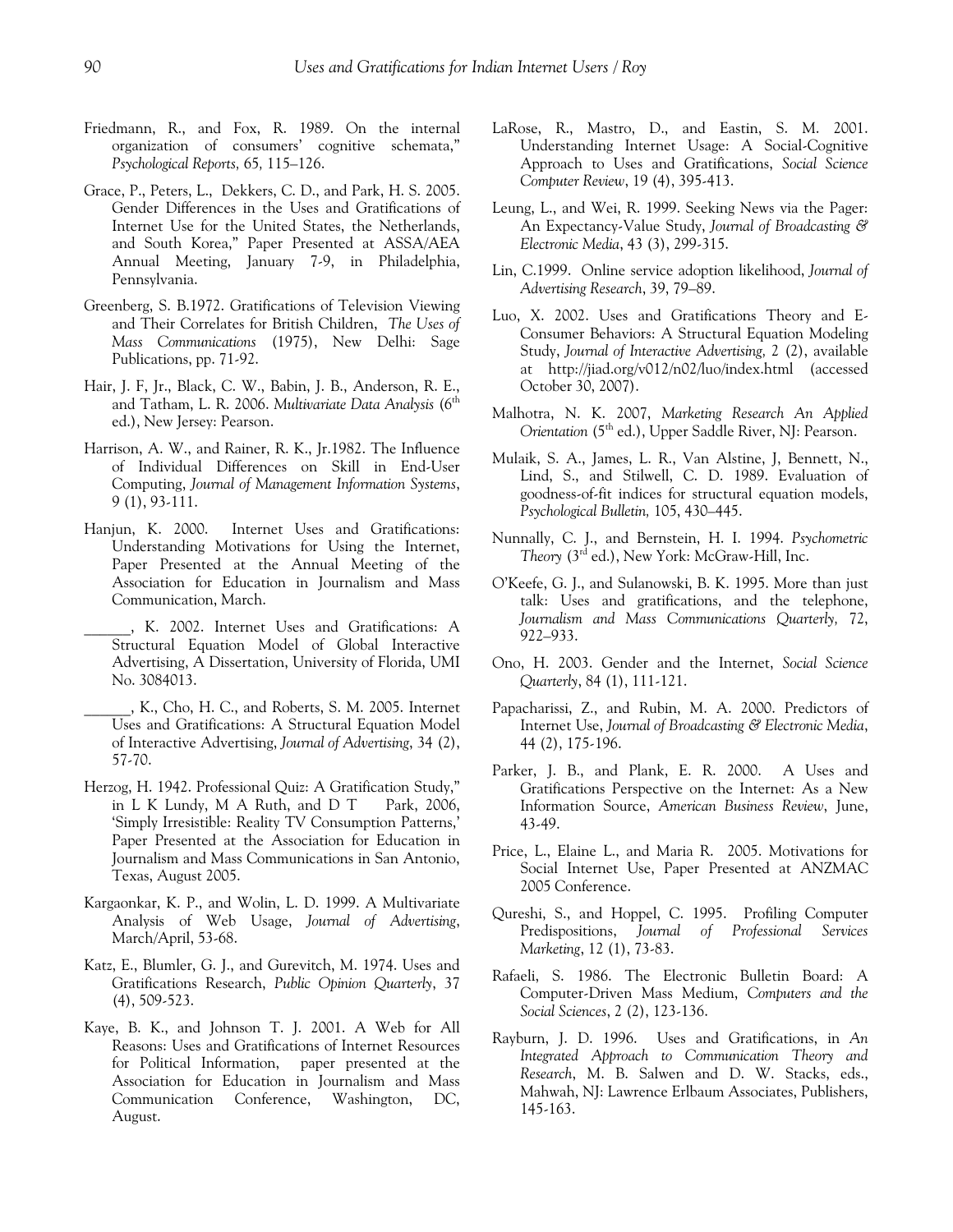- Friedmann, R., and Fox, R. 1989. On the internal organization of consumers' cognitive schemata," *Psychological Reports,* 65*,* 115–126.
- Grace, P., Peters, L., Dekkers, C. D., and Park, H. S. 2005. Gender Differences in the Uses and Gratifications of Internet Use for the United States, the Netherlands, and South Korea," Paper Presented at ASSA/AEA Annual Meeting, January 7-9, in Philadelphia, Pennsylvania.
- Greenberg, S. B.1972. Gratifications of Television Viewing and Their Correlates for British Children, *The Uses of Mass Communications* (1975), New Delhi: Sage Publications, pp. 71-92.
- Hair, J. F, Jr., Black, C. W., Babin, J. B., Anderson, R. E., and Tatham, L. R. 2006. *Multivariate Data Analysis* (6th ed.), New Jersey: Pearson.
- Harrison, A. W., and Rainer, R. K., Jr.1982. The Influence of Individual Differences on Skill in End-User Computing, *Journal of Management Information Systems*, 9 (1), 93-111.
- Hanjun, K. 2000. Internet Uses and Gratifications: Understanding Motivations for Using the Internet, Paper Presented at the Annual Meeting of the Association for Education in Journalism and Mass Communication, March.
	- \_\_\_\_\_\_, K. 2002. Internet Uses and Gratifications: A Structural Equation Model of Global Interactive Advertising, A Dissertation, University of Florida, UMI No. 3084013.
- \_\_\_\_\_\_, K., Cho, H. C., and Roberts, S. M. 2005. Internet Uses and Gratifications: A Structural Equation Model of Interactive Advertising, *Journal of Advertising*, 34 (2), 57-70.
- Herzog, H. 1942. Professional Quiz: A Gratification Study," in L K Lundy, M A Ruth, and D T Park, 2006, 'Simply Irresistible: Reality TV Consumption Patterns,' Paper Presented at the Association for Education in Journalism and Mass Communications in San Antonio, Texas, August 2005.
- Kargaonkar, K. P., and Wolin, L. D. 1999. A Multivariate Analysis of Web Usage, *Journal of Advertising*, March/April, 53-68.
- Katz, E., Blumler, G. J., and Gurevitch, M. 1974. Uses and Gratifications Research, *Public Opinion Quarterly*, 37 (4), 509-523.
- Kaye, B. K., and Johnson T. J. 2001. A Web for All Reasons: Uses and Gratifications of Internet Resources for Political Information, paper presented at the Association for Education in Journalism and Mass Communication Conference, Washington, DC, August.
- LaRose, R., Mastro, D., and Eastin, S. M. 2001. Understanding Internet Usage: A Social-Cognitive Approach to Uses and Gratifications, *Social Science Computer Review*, 19 (4), 395-413.
- Leung, L., and Wei, R. 1999. Seeking News via the Pager: An Expectancy-Value Study, *Journal of Broadcasting & Electronic Media*, 43 (3), 299-315.
- Lin, C.1999. Online service adoption likelihood, *Journal of Advertising Research*, 39, 79–89.
- Luo, X. 2002. Uses and Gratifications Theory and E-Consumer Behaviors: A Structural Equation Modeling Study, *Journal of Interactive Advertising,* 2 (2), available at http://jiad.org/v012/n02/luo/index.html (accessed October 30, 2007).
- Malhotra, N. K. 2007, *Marketing Research An Applied Orientation* (5<sup>th</sup> ed.), Upper Saddle River, NJ: Pearson.
- Mulaik, S. A., James, L. R., Van Alstine, J, Bennett, N., Lind, S., and Stilwell, C. D. 1989. Evaluation of goodness-of-fit indices for structural equation models, *Psychological Bulletin,* 105, 430–445.
- Nunnally, C. J., and Bernstein, H. I. 1994. *Psychometric Theory* (3rd ed.), New York: McGraw-Hill, Inc.
- O'Keefe, G. J., and Sulanowski, B. K. 1995. More than just talk: Uses and gratifications, and the telephone, *Journalism and Mass Communications Quarterly,* 72, 922–933.
- Ono, H. 2003. Gender and the Internet, *Social Science Quarterly*, 84 (1), 111-121.
- Papacharissi, Z., and Rubin, M. A. 2000. Predictors of Internet Use, *Journal of Broadcasting & Electronic Media*, 44 (2), 175-196.
- Parker, J. B., and Plank, E. R. 2000. A Uses and Gratifications Perspective on the Internet: As a New Information Source, *American Business Review*, June, 43-49.
- Price, L., Elaine L., and Maria R. 2005. Motivations for Social Internet Use, Paper Presented at ANZMAC 2005 Conference.
- Qureshi, S., and Hoppel, C. 1995. Profiling Computer Predispositions, *Journal of Professional Services Marketing*, 12 (1), 73-83.
- Rafaeli, S. 1986. The Electronic Bulletin Board: A Computer-Driven Mass Medium, *Computers and the Social Sciences*, 2 (2), 123-136.
- Rayburn, J. D. 1996. Uses and Gratifications, in *An Integrated Approach to Communication Theory and Research*, M. B. Salwen and D. W. Stacks, eds., Mahwah, NJ: Lawrence Erlbaum Associates, Publishers, 145-163.